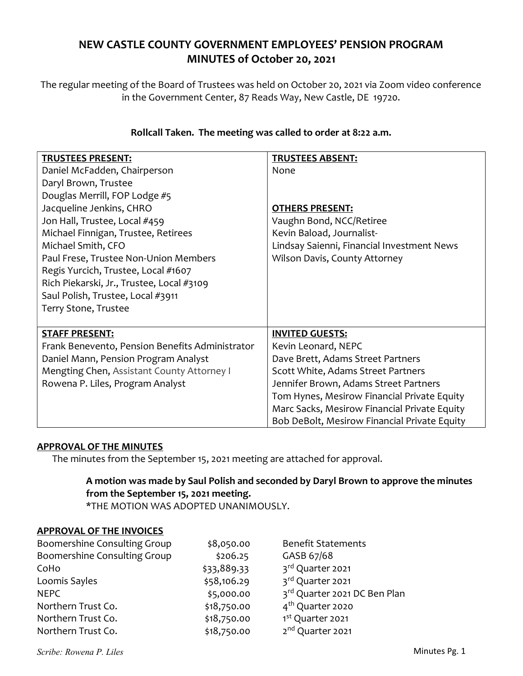## NEW CASTLE COUNTY GOVERNMENT EMPLOYEES' PENSION PROGRAM MINUTES of October 20, 2021

The regular meeting of the Board of Trustees was held on October 20, 2021 via Zoom video conference in the Government Center, 87 Reads Way, New Castle, DE 19720.

| <b>TRUSTEES PRESENT:</b><br>Daniel McFadden, Chairperson<br>Daryl Brown, Trustee<br>Douglas Merrill, FOP Lodge #5<br>Jacqueline Jenkins, CHRO<br>Jon Hall, Trustee, Local #459<br>Michael Finnigan, Trustee, Retirees<br>Michael Smith, CFO<br>Paul Frese, Trustee Non-Union Members | <b>TRUSTEES ABSENT:</b><br>None<br><b>OTHERS PRESENT:</b><br>Vaughn Bond, NCC/Retiree<br>Kevin Baload, Journalist-<br>Lindsay Saienni, Financial Investment News<br>Wilson Davis, County Attorney |
|--------------------------------------------------------------------------------------------------------------------------------------------------------------------------------------------------------------------------------------------------------------------------------------|---------------------------------------------------------------------------------------------------------------------------------------------------------------------------------------------------|
| Regis Yurcich, Trustee, Local #1607<br>Rich Piekarski, Jr., Trustee, Local #3109<br>Saul Polish, Trustee, Local #3911<br>Terry Stone, Trustee                                                                                                                                        |                                                                                                                                                                                                   |
| <b>STAFF PRESENT:</b>                                                                                                                                                                                                                                                                | <b>INVITED GUESTS:</b>                                                                                                                                                                            |
| Frank Benevento, Pension Benefits Administrator                                                                                                                                                                                                                                      | Kevin Leonard, NEPC                                                                                                                                                                               |
| Daniel Mann, Pension Program Analyst                                                                                                                                                                                                                                                 | Dave Brett, Adams Street Partners                                                                                                                                                                 |
| Mengting Chen, Assistant County Attorney I                                                                                                                                                                                                                                           | Scott White, Adams Street Partners                                                                                                                                                                |
| Rowena P. Liles, Program Analyst                                                                                                                                                                                                                                                     | Jennifer Brown, Adams Street Partners                                                                                                                                                             |
|                                                                                                                                                                                                                                                                                      | Tom Hynes, Mesirow Financial Private Equity                                                                                                                                                       |
|                                                                                                                                                                                                                                                                                      | Marc Sacks, Mesirow Financial Private Equity                                                                                                                                                      |
|                                                                                                                                                                                                                                                                                      | Bob DeBolt, Mesirow Financial Private Equity                                                                                                                                                      |

## Rollcall Taken. The meeting was called to order at 8:22 a.m.

#### APPROVAL OF THE MINUTES

The minutes from the September 15, 2021 meeting are attached for approval.

# A motion was made by Saul Polish and seconded by Daryl Brown to approve the minutes from the September 15, 2021 meeting.

\*THE MOTION WAS ADOPTED UNANIMOUSLY.

## APPROVAL OF THE INVOICES

| Boomershine Consulting Group | \$8,050.00  | <b>Benefit Statements</b>    |
|------------------------------|-------------|------------------------------|
| Boomershine Consulting Group | \$206.25    | GASB 67/68                   |
| CoHo                         | \$33,889.33 | 3rd Quarter 2021             |
| Loomis Sayles                | \$58,106.29 | 3rd Quarter 2021             |
| <b>NEPC</b>                  | \$5,000.00  | 3rd Quarter 2021 DC Ben Plan |
| Northern Trust Co.           | \$18,750.00 | 4 <sup>th</sup> Quarter 2020 |
| Northern Trust Co.           | \$18,750.00 | 1 <sup>st</sup> Quarter 2021 |
| Northern Trust Co.           | \$18,750.00 | 2 <sup>nd</sup> Quarter 2021 |

Scribe: Rowena P. Liles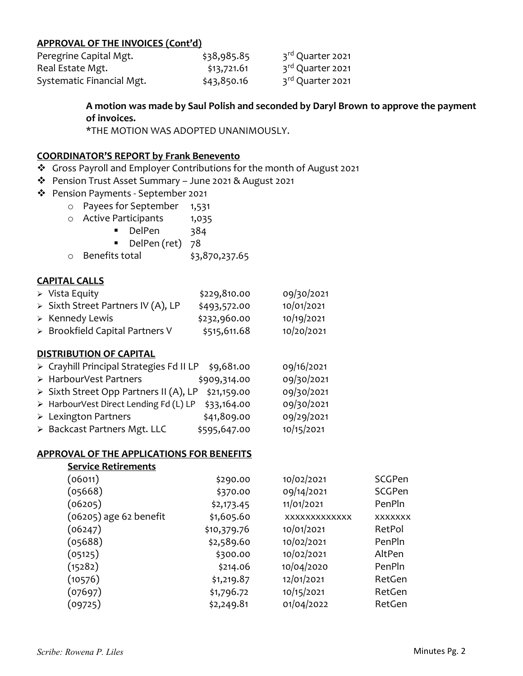#### APPROVAL OF THE INVOICES (Cont'd)

| Peregrine Capital Mgt.    | \$38,985.85 | 3 <sup>rd</sup> Quarter 2021 |
|---------------------------|-------------|------------------------------|
| Real Estate Mgt.          | \$13,721.61 | 3rd Quarter 2021             |
| Systematic Financial Mgt. | \$43,850.16 | 3 <sup>rd</sup> Quarter 2021 |

A motion was made by Saul Polish and seconded by Daryl Brown to approve the payment of invoices.

\*THE MOTION WAS ADOPTED UNANIMOUSLY.

#### COORDINATOR'S REPORT by Frank Benevento

- Gross Payroll and Employer Contributions for the month of August 2021
- Pension Trust Asset Summary June 2021 & August 2021
- Pension Payments September 2021
	- o Payees for September 1,531
	- o Active Participants 1,035
		- DelPen 384
		- DelPen (ret) 78
	- o Benefits total \$3,870,237.65

#### CAPITAL CALLS

| $\triangleright$ Vista Equity      | \$229,810.00 | 09/30/2021 |
|------------------------------------|--------------|------------|
| > Sixth Street Partners IV (A), LP | \$493,572.00 | 10/01/2021 |
| $\triangleright$ Kennedy Lewis     | \$232,960.00 | 10/19/2021 |
| > Brookfield Capital Partners V    | \$515,611.68 | 10/20/2021 |

#### DISTRIBUTION OF CAPITAL

| > Crayhill Principal Strategies Fd II LP | \$9,681.00   | 09/16/2021 |
|------------------------------------------|--------------|------------|
| > HarbourVest Partners                   | \$909,314.00 | 09/30/2021 |
| > Sixth Street Opp Partners II (A), LP   | \$21,159.00  | 09/30/2021 |
| > HarbourVest Direct Lending Fd (L) LP   | \$33,164.00  | 09/30/2021 |
| $\triangleright$ Lexington Partners      | \$41,809.00  | 09/29/2021 |
| > Backcast Partners Mgt. LLC             | \$595,647.00 | 10/15/2021 |

#### APPROVAL OF THE APPLICATIONS FOR BENEFITS

| <b>Service Retirements</b> |             |                      |                |
|----------------------------|-------------|----------------------|----------------|
| (06011)                    | \$290.00    | 10/02/2021           | SCGPen         |
| (05668)                    | \$370.00    | 09/14/2021           | <b>SCGPen</b>  |
| (06205)                    | \$2,173.45  | 11/01/2021           | PenPln         |
| (06205) age 62 benefit     | \$1,605.60  | <b>XXXXXXXXXXXXX</b> | <b>XXXXXXX</b> |
| (06247)                    | \$10,379.76 | 10/01/2021           | RetPol         |
| (05688)                    | \$2,589.60  | 10/02/2021           | PenPln         |
| (05125)                    | \$300.00    | 10/02/2021           | AltPen         |
| (15282)                    | \$214.06    | 10/04/2020           | PenPln         |
| (10576)                    | \$1,219.87  | 12/01/2021           | RetGen         |
| (07697)                    | \$1,796.72  | 10/15/2021           | RetGen         |
| (09725)                    | \$2,249.81  | 01/04/2022           | RetGen         |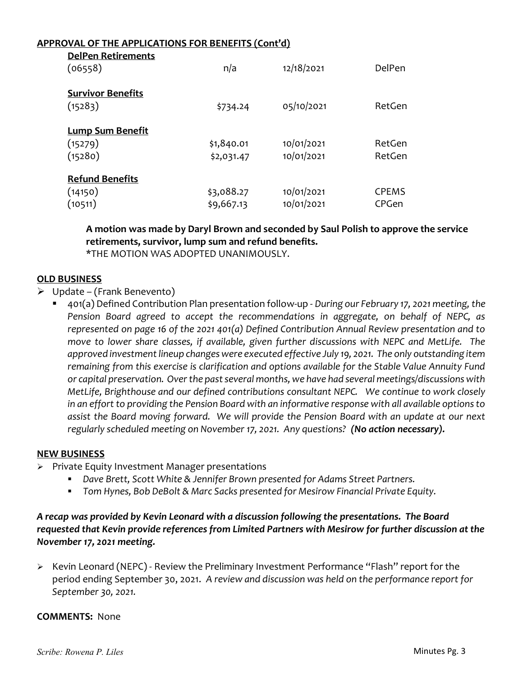#### APPROVAL OF THE APPLICATIONS FOR BENEFITS (Cont'd)

| <b>DelPen Retirements</b><br>(06558)          | n/a                      | 12/18/2021               | DelPen                |
|-----------------------------------------------|--------------------------|--------------------------|-----------------------|
| <b>Survivor Benefits</b><br>(15283)           | \$734.24                 | 05/10/2021               | RetGen                |
| <b>Lump Sum Benefit</b><br>(15279)<br>(15280) | \$1,840.01<br>\$2,031.47 | 10/01/2021<br>10/01/2021 | RetGen<br>RetGen      |
| <b>Refund Benefits</b><br>(14150)<br>(10511)  | \$3,088.27<br>\$9,667.13 | 10/01/2021<br>10/01/2021 | <b>CPEMS</b><br>CPGen |

A motion was made by Daryl Brown and seconded by Saul Polish to approve the service retirements, survivor, lump sum and refund benefits.

\*THE MOTION WAS ADOPTED UNANIMOUSLY.

#### OLD BUSINESS

- $\triangleright$  Update (Frank Benevento)
	- 401(a) Defined Contribution Plan presentation follow-up During our February 17, 2021 meeting, the Pension Board agreed to accept the recommendations in aggregate, on behalf of NEPC, as represented on page 16 of the 2021 401(a) Defined Contribution Annual Review presentation and to move to lower share classes, if available, given further discussions with NEPC and MetLife. The approved investment lineup changes were executed effective July 19, 2021. The only outstanding item remaining from this exercise is clarification and options available for the Stable Value Annuity Fund or capital preservation. Over the past several months, we have had several meetings/discussions with MetLife, Brighthouse and our defined contributions consultant NEPC. We continue to work closely in an effort to providing the Pension Board with an informative response with all available options to assist the Board moving forward. We will provide the Pension Board with an update at our next regularly scheduled meeting on November 17, 2021. Any questions? (No action necessary).

#### NEW BUSINESS

- $\triangleright$  Private Equity Investment Manager presentations
	- Dave Brett, Scott White & Jennifer Brown presented for Adams Street Partners.
	- **Tom Hynes, Bob DeBolt & Marc Sacks presented for Mesirow Financial Private Equity.**

## A recap was provided by Kevin Leonard with a discussion following the presentations. The Board requested that Kevin provide references from Limited Partners with Mesirow for further discussion at the November 17, 2021 meeting.

▶ Kevin Leonard (NEPC) - Review the Preliminary Investment Performance "Flash" report for the period ending September 30, 2021. A review and discussion was held on the performance report for September 30, 2021.

#### COMMENTS: None